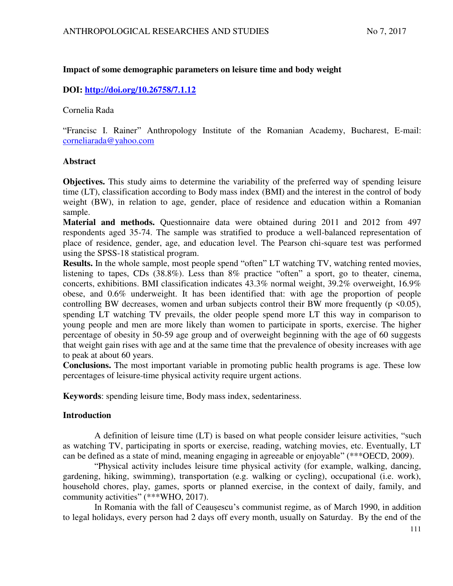## **Impact of some demographic parameters on leisure time and body weight**

# **DOI:<http://doi.org/10.26758/7.1.12>**

Cornelia Rada

"Francisc I. Rainer" Anthropology Institute of the Romanian Academy, Bucharest, E-mail: corneliarada@yahoo.com

### **Abstract**

**Objectives.** This study aims to determine the variability of the preferred way of spending leisure time (LT), classification according to Body mass index (BMI) and the interest in the control of body weight (BW), in relation to age, gender, place of residence and education within a Romanian sample.

**Material and methods.** Questionnaire data were obtained during 2011 and 2012 from 497 respondents aged 35-74. The sample was stratified to produce a well-balanced representation of place of residence, gender, age, and education level. The Pearson chi-square test was performed using the SPSS-18 statistical program.

**Results.** In the whole sample, most people spend "often" LT watching TV, watching rented movies, listening to tapes, CDs (38.8%). Less than 8% practice "often" a sport, go to theater, cinema, concerts, exhibitions. BMI classification indicates 43.3% normal weight, 39.2% overweight, 16.9% obese, and 0.6% underweight. It has been identified that: with age the proportion of people controlling BW decreases, women and urban subjects control their BW more frequently ( $p \le 0.05$ ), spending LT watching TV prevails, the older people spend more LT this way in comparison to young people and men are more likely than women to participate in sports, exercise. The higher percentage of obesity in 50-59 age group and of overweight beginning with the age of 60 suggests that weight gain rises with age and at the same time that the prevalence of obesity increases with age to peak at about 60 years.

**Conclusions.** The most important variable in promoting public health programs is age. These low percentages of leisure-time physical activity require urgent actions.

**Keywords**: spending leisure time, Body mass index, sedentariness.

## **Introduction**

A definition of leisure time (LT) is based on what people consider leisure activities, "such as watching TV, participating in sports or exercise, reading, watching movies, etc. Eventually, LT can be defined as a state of mind, meaning engaging in agreeable or enjoyable" (\*\*\*OECD, 2009).

"Physical activity includes leisure time physical activity (for example, walking, dancing, gardening, hiking, swimming), transportation (e.g. walking or cycling), occupational (i.e. work), household chores, play, games, sports or planned exercise, in the context of daily, family, and community activities" (\*\*\*WHO, 2017).

In Romania with the fall of Ceaușescu's communist regime, as of March 1990, in addition to legal holidays, every person had 2 days off every month, usually on Saturday. By the end of the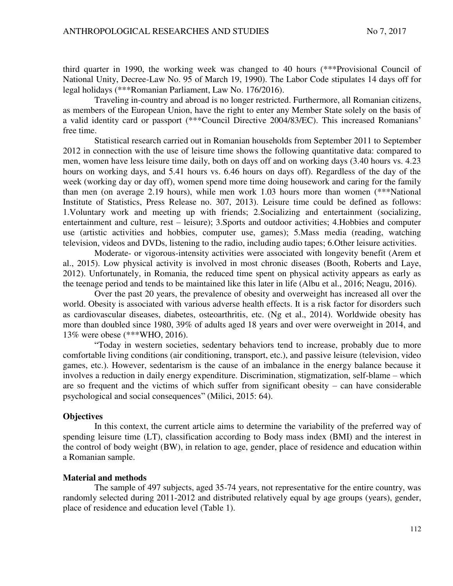third quarter in 1990, the working week was changed to 40 hours (\*\*\*Provisional Council of National Unity, Decree-Law No. 95 of March 19, 1990). The Labor Code stipulates 14 days off for legal holidays (\*\*\*Romanian Parliament, Law No. 176/2016).

Traveling in-country and abroad is no longer restricted. Furthermore, all Romanian citizens, as members of the European Union, have the right to enter any Member State solely on the basis of a valid identity card or passport (\*\*\*Council Directive 2004/83/EC). This increased Romanians' free time.

Statistical research carried out in Romanian households from September 2011 to September 2012 in connection with the use of leisure time shows the following quantitative data: compared to men, women have less leisure time daily, both on days off and on working days (3.40 hours vs. 4.23 hours on working days, and 5.41 hours vs. 6.46 hours on days off). Regardless of the day of the week (working day or day off), women spend more time doing housework and caring for the family than men (on average 2.19 hours), while men work 1.03 hours more than women (\*\*\*National Institute of Statistics, Press Release no. 307, 2013). Leisure time could be defined as follows: 1.Voluntary work and meeting up with friends; 2.Socializing and entertainment (socializing, entertainment and culture, rest – leisure); 3.Sports and outdoor activities; 4.Hobbies and computer use (artistic activities and hobbies, computer use, games); 5.Mass media (reading, watching television, videos and DVDs, listening to the radio, including audio tapes; 6.Other leisure activities.

Moderate- or vigorous-intensity activities were associated with longevity benefit (Arem et al., 2015). Low physical activity is involved in most chronic diseases (Booth, Roberts and Laye, 2012). Unfortunately, in Romania, the reduced time spent on physical activity appears as early as the teenage period and tends to be maintained like this later in life (Albu et al., 2016; Neagu, 2016).

Over the past 20 years, the prevalence of obesity and overweight has increased all over the world. Obesity is associated with various adverse health effects. It is a risk factor for disorders such as cardiovascular diseases, diabetes, osteoarthritis, etc. (Ng et al., 2014). Worldwide obesity has more than doubled since 1980, 39% of adults aged 18 years and over were overweight in 2014, and 13% were obese (\*\*\*WHO, 2016).

"Today in western societies, sedentary behaviors tend to increase, probably due to more comfortable living conditions (air conditioning, transport, etc.), and passive leisure (television, video games, etc.). However, sedentarism is the cause of an imbalance in the energy balance because it involves a reduction in daily energy expenditure. Discrimination, stigmatization, self-blame – which are so frequent and the victims of which suffer from significant obesity – can have considerable psychological and social consequences" (Milici, 2015: 64). 

## **Objectives**

In this context, the current article aims to determine the variability of the preferred way of spending leisure time (LT), classification according to Body mass index (BMI) and the interest in the control of body weight (BW), in relation to age, gender, place of residence and education within a Romanian sample.

### **Material and methods**

The sample of 497 subjects, aged 35-74 years, not representative for the entire country, was randomly selected during 2011-2012 and distributed relatively equal by age groups (years), gender, place of residence and education level (Table 1).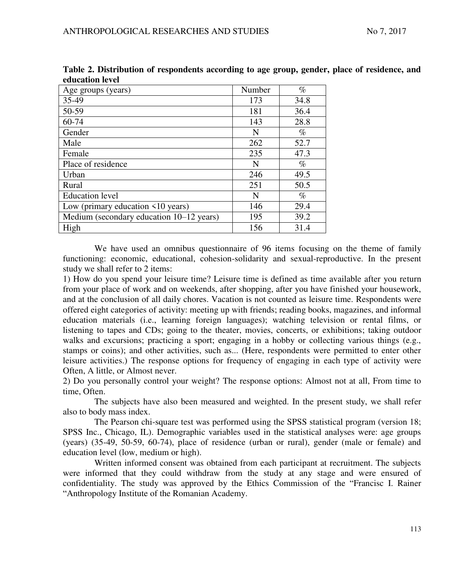| yuuvuuvii iyyyi                          |        |      |
|------------------------------------------|--------|------|
| Age groups (years)                       | Number | $\%$ |
| 35-49                                    | 173    | 34.8 |
| 50-59                                    | 181    | 36.4 |
| 60-74                                    | 143    | 28.8 |
| Gender                                   | N      | $\%$ |
| Male                                     | 262    | 52.7 |
| Female                                   | 235    | 47.3 |
| Place of residence                       | N      | $\%$ |
| Urban                                    | 246    | 49.5 |
| Rural                                    | 251    | 50.5 |
| <b>Education</b> level                   | N      | $\%$ |
| Low (primary education $\leq 10$ years)  | 146    | 29.4 |
| Medium (secondary education 10–12 years) | 195    | 39.2 |
| High                                     | 156    | 31.4 |

**Table 2. Distribution of respondents according to age group, gender, place of residence, and education level** 

We have used an omnibus questionnaire of 96 items focusing on the theme of family functioning: economic, educational, cohesion-solidarity and sexual-reproductive. In the present study we shall refer to 2 items:

1) How do you spend your leisure time? Leisure time is defined as time available after you return from your place of work and on weekends, after shopping, after you have finished your housework, and at the conclusion of all daily chores. Vacation is not counted as leisure time. Respondents were offered eight categories of activity: meeting up with friends; reading books, magazines, and informal education materials (i.e., learning foreign languages); watching television or rental films, or listening to tapes and CDs; going to the theater, movies, concerts, or exhibitions; taking outdoor walks and excursions; practicing a sport; engaging in a hobby or collecting various things (e.g., stamps or coins); and other activities, such as... (Here, respondents were permitted to enter other leisure activities.) The response options for frequency of engaging in each type of activity were Often, A little, or Almost never.

2) Do you personally control your weight? The response options: Almost not at all, From time to time, Often.

The subjects have also been measured and weighted. In the present study, we shall refer also to body mass index.

The Pearson chi-square test was performed using the SPSS statistical program (version 18; SPSS Inc., Chicago, IL). Demographic variables used in the statistical analyses were: age groups (years) (35-49, 50-59, 60-74), place of residence (urban or rural), gender (male or female) and education level (low, medium or high).

Written informed consent was obtained from each participant at recruitment. The subjects were informed that they could withdraw from the study at any stage and were ensured of confidentiality. The study was approved by the Ethics Commission of the "Francisc I. Rainer "Anthropology Institute of the Romanian Academy.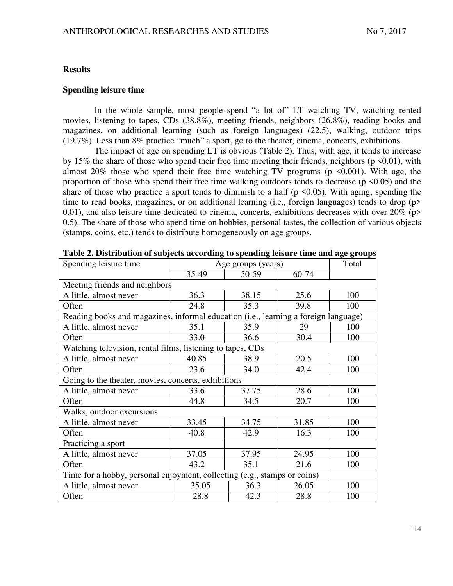### **Results**

### **Spending leisure time**

In the whole sample, most people spend "a lot of" LT watching TV, watching rented movies, listening to tapes, CDs (38.8%), meeting friends, neighbors (26.8%), reading books and magazines, on additional learning (such as foreign languages) (22.5), walking, outdoor trips (19.7%). Less than 8% practice "much" a sport, go to the theater, cinema, concerts, exhibitions.

The impact of age on spending LT is obvious (Table 2). Thus, with age, it tends to increase by 15% the share of those who spend their free time meeting their friends, neighbors ( $p \le 0.01$ ), with almost 20% those who spend their free time watching TV programs ( $p \le 0.001$ ). With age, the proportion of those who spend their free time walking outdoors tends to decrease ( $p \le 0.05$ ) and the share of those who practice a sport tends to diminish to a half ( $p \le 0.05$ ). With aging, spending the time to read books, magazines, or on additional learning (i.e., foreign languages) tends to drop (p> 0.01), and also leisure time dedicated to cinema, concerts, exhibitions decreases with over  $20\%$  (p> 0.5). The share of those who spend time on hobbies, personal tastes, the collection of various objects (stamps, coins, etc.) tends to distribute homogeneously on age groups.

| Spending leisure time                                                               | Age groups (years) |       |       | $\bullet$<br>Total |  |
|-------------------------------------------------------------------------------------|--------------------|-------|-------|--------------------|--|
|                                                                                     | 35-49              | 50-59 | 60-74 |                    |  |
| Meeting friends and neighbors                                                       |                    |       |       |                    |  |
| A little, almost never                                                              | 36.3               | 38.15 | 25.6  | 100                |  |
| Often                                                                               | 24.8               | 35.3  | 39.8  | 100                |  |
| Reading books and magazines, informal education (i.e., learning a foreign language) |                    |       |       |                    |  |
| A little, almost never                                                              | 35.1               | 35.9  | 29    | 100                |  |
| Often                                                                               | 33.0               | 36.6  | 30.4  | 100                |  |
| Watching television, rental films, listening to tapes, CDs                          |                    |       |       |                    |  |
| A little, almost never                                                              | 40.85              | 38.9  | 20.5  | 100                |  |
| Often                                                                               | 23.6               | 34.0  | 42.4  | 100                |  |
| Going to the theater, movies, concerts, exhibitions                                 |                    |       |       |                    |  |
| A little, almost never                                                              | 33.6               | 37.75 | 28.6  | 100                |  |
| Often                                                                               | 44.8               | 34.5  | 20.7  | 100                |  |
| Walks, outdoor excursions                                                           |                    |       |       |                    |  |
| A little, almost never                                                              | 33.45              | 34.75 | 31.85 | 100                |  |
| Often                                                                               | 40.8               | 42.9  | 16.3  | 100                |  |
| Practicing a sport                                                                  |                    |       |       |                    |  |
| A little, almost never                                                              | 37.05              | 37.95 | 24.95 | 100                |  |
| Often                                                                               | 43.2               | 35.1  | 21.6  | 100                |  |
| Time for a hobby, personal enjoyment, collecting (e.g., stamps or coins)            |                    |       |       |                    |  |
| A little, almost never                                                              | 35.05              | 36.3  | 26.05 | 100                |  |
| Often                                                                               | 28.8               | 42.3  | 28.8  | 100                |  |

**Table 2. Distribution of subjects according to spending leisure time and age groups**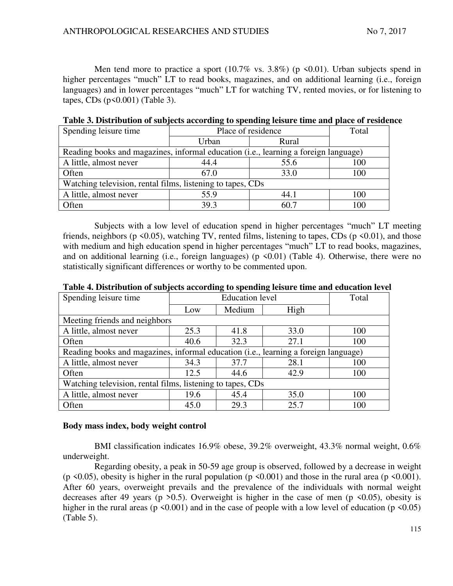Men tend more to practice a sport  $(10.7\%$  vs. 3.8%) (p <0.01). Urban subjects spend in higher percentages "much" LT to read books, magazines, and on additional learning (i.e., foreign languages) and in lower percentages "much" LT for watching TV, rented movies, or for listening to tapes,  $CDs$  ( $p<0.001$ ) (Table 3).

| Spending leisure time                                                               | Place of residence | Total |     |  |  |  |
|-------------------------------------------------------------------------------------|--------------------|-------|-----|--|--|--|
|                                                                                     | Rural<br>Urban     |       |     |  |  |  |
| Reading books and magazines, informal education (i.e., learning a foreign language) |                    |       |     |  |  |  |
| A little, almost never                                                              | 44.4               | 100   |     |  |  |  |
| Often                                                                               | 67.0               | 33.0  | 100 |  |  |  |
| Watching television, rental films, listening to tapes, CDs                          |                    |       |     |  |  |  |
| A little, almost never                                                              | 55.9               | 44.1  | 100 |  |  |  |
| Often                                                                               | 39.3               | 60.7  | 100 |  |  |  |

**Table 3. Distribution of subjects according to spending leisure time and place of residence** 

Subjects with a low level of education spend in higher percentages "much" LT meeting friends, neighbors ( $p \le 0.05$ ), watching TV, rented films, listening to tapes, CDs ( $p \le 0.01$ ), and those with medium and high education spend in higher percentages "much" LT to read books, magazines, and on additional learning (i.e., foreign languages) ( $p \le 0.01$ ) (Table 4). Otherwise, there were no statistically significant differences or worthy to be commented upon.

| Spending leisure time                                                               | <b>Education</b> level |        |      | Total |  |  |
|-------------------------------------------------------------------------------------|------------------------|--------|------|-------|--|--|
|                                                                                     | Low                    | Medium | High |       |  |  |
| Meeting friends and neighbors                                                       |                        |        |      |       |  |  |
| A little, almost never                                                              | 25.3                   | 41.8   | 33.0 | 100   |  |  |
| Often                                                                               | 40.6                   | 32.3   | 27.1 | 100   |  |  |
| Reading books and magazines, informal education (i.e., learning a foreign language) |                        |        |      |       |  |  |
| A little, almost never                                                              | 34.3                   | 37.7   | 28.1 | 100   |  |  |
| Often                                                                               | 12.5                   | 44.6   | 42.9 | 100   |  |  |
| Watching television, rental films, listening to tapes, CDs                          |                        |        |      |       |  |  |
| A little, almost never                                                              | 19.6                   | 45.4   | 35.0 | 100   |  |  |
| Often                                                                               | 45.0                   | 29.3   | 25.7 | 100   |  |  |

**Table 4. Distribution of subjects according to spending leisure time and education level** 

### **Body mass index, body weight control**

BMI classification indicates 16.9% obese, 39.2% overweight, 43.3% normal weight, 0.6% underweight.

Regarding obesity, a peak in 50-59 age group is observed, followed by a decrease in weight (p <0.05), obesity is higher in the rural population (p <0.001) and those in the rural area (p <0.001). After 60 years, overweight prevails and the prevalence of the individuals with normal weight decreases after 49 years (p  $>0.5$ ). Overweight is higher in the case of men (p  $\leq 0.05$ ), obesity is higher in the rural areas ( $p \le 0.001$ ) and in the case of people with a low level of education ( $p \le 0.05$ ) (Table 5).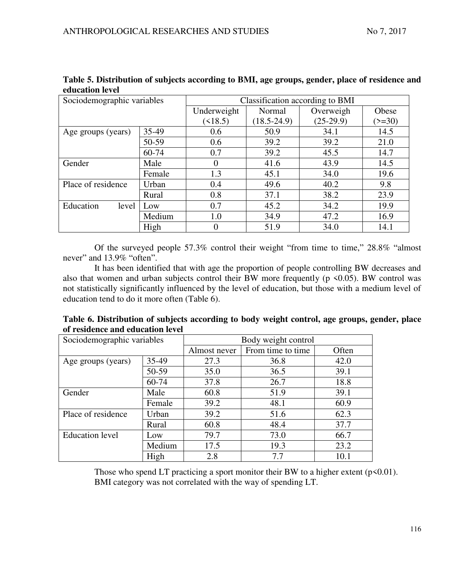| Sociodemographic variables |        | Classification according to BMI |                 |             |          |
|----------------------------|--------|---------------------------------|-----------------|-------------|----------|
|                            |        | Underweight                     | Normal          | Overweigh   | Obese    |
|                            |        | $($ < 18.5)                     | $(18.5 - 24.9)$ | $(25-29.9)$ | $(>=30)$ |
| Age groups (years)         | 35-49  | 0.6                             | 50.9            | 34.1        | 14.5     |
|                            | 50-59  | 0.6                             | 39.2            | 39.2        | 21.0     |
|                            | 60-74  | 0.7                             | 39.2            | 45.5        | 14.7     |
| Gender                     | Male   | 0                               | 41.6            | 43.9        | 14.5     |
|                            | Female | 1.3                             | 45.1            | 34.0        | 19.6     |
| Place of residence         | Urban  | 0.4                             | 49.6            | 40.2        | 9.8      |
|                            | Rural  | 0.8                             | 37.1            | 38.2        | 23.9     |
| Education<br>level         | Low    | 0.7                             | 45.2            | 34.2        | 19.9     |
|                            | Medium | 1.0                             | 34.9            | 47.2        | 16.9     |
|                            | High   | 0                               | 51.9            | 34.0        | 14.1     |

**Table 5. Distribution of subjects according to BMI, age groups, gender, place of residence and education level** 

Of the surveyed people 57.3% control their weight "from time to time," 28.8% "almost never" and 13.9% "often".

It has been identified that with age the proportion of people controlling BW decreases and also that women and urban subjects control their BW more frequently ( $p \le 0.05$ ). BW control was not statistically significantly influenced by the level of education, but those with a medium level of education tend to do it more often (Table 6).

| Table 6. Distribution of subjects according to body weight control, age groups, gender, place |  |  |
|-----------------------------------------------------------------------------------------------|--|--|
| of residence and education level                                                              |  |  |

| Sociodemographic variables |        | Body weight control |                   |       |  |
|----------------------------|--------|---------------------|-------------------|-------|--|
|                            |        | Almost never        | From time to time | Often |  |
| Age groups (years)         | 35-49  | 27.3                | 36.8              | 42.0  |  |
|                            | 50-59  | 35.0                | 36.5              | 39.1  |  |
|                            | 60-74  | 37.8                | 26.7              | 18.8  |  |
| Gender                     | Male   | 60.8                | 51.9              | 39.1  |  |
|                            | Female | 39.2                | 48.1              | 60.9  |  |
| Place of residence         | Urban  | 39.2                | 51.6              | 62.3  |  |
|                            | Rural  | 60.8                | 48.4              | 37.7  |  |
| <b>Education</b> level     | Low    | 79.7                | 73.0              | 66.7  |  |
|                            | Medium | 17.5                | 19.3              | 23.2  |  |
|                            | High   | 2.8                 | 7.7               | 10.1  |  |
|                            |        |                     |                   |       |  |

Those who spend LT practicing a sport monitor their BW to a higher extent  $(p<0.01)$ . BMI category was not correlated with the way of spending LT.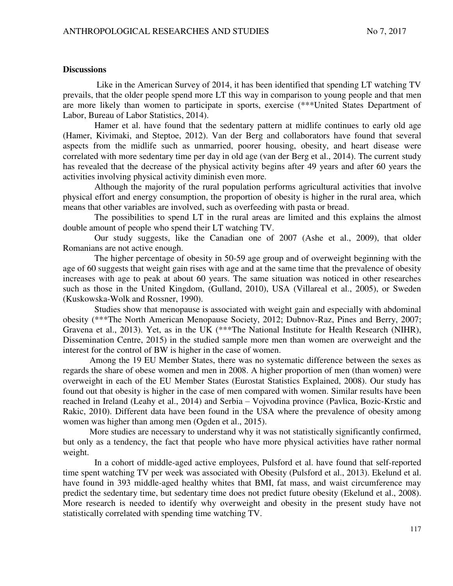## **Discussions**

Like in the American Survey of 2014, it has been identified that spending LT watching TV prevails, that the older people spend more LT this way in comparison to young people and that men are more likely than women to participate in sports, exercise (\*\*\*United States Department of Labor, Bureau of Labor Statistics, 2014).

Hamer et al. have found that the sedentary pattern at midlife continues to early old age (Hamer, Kivimaki, and Steptoe, 2012). Van der Berg and collaborators have found that several aspects from the midlife such as unmarried, poorer housing, obesity, and heart disease were correlated with more sedentary time per day in old age (van der Berg et al., 2014). The current study has revealed that the decrease of the physical activity begins after 49 years and after 60 years the activities involving physical activity diminish even more.

Although the majority of the rural population performs agricultural activities that involve physical effort and energy consumption, the proportion of obesity is higher in the rural area, which means that other variables are involved, such as overfeeding with pasta or bread.

The possibilities to spend LT in the rural areas are limited and this explains the almost double amount of people who spend their LT watching TV.

Our study suggests, like the Canadian one of 2007 (Ashe et al., 2009), that older Romanians are not active enough.

The higher percentage of obesity in 50-59 age group and of overweight beginning with the age of 60 suggests that weight gain rises with age and at the same time that the prevalence of obesity increases with age to peak at about 60 years. The same situation was noticed in other researches such as those in the United Kingdom, (Gulland, 2010), USA (Villareal et al., 2005), or Sweden (Kuskowska-Wolk and Rossner, 1990).

Studies show that menopause is associated with weight gain and especially with abdominal obesity (\*\*\*The North American Menopause Society, 2012; Dubnov-Raz, Pines and Berry, 2007; Gravena et al., 2013). Yet, as in the UK (\*\*\*The National Institute for Health Research (NIHR), Dissemination Centre, 2015) in the studied sample more men than women are overweight and the interest for the control of BW is higher in the case of women.

Among the 19 EU Member States, there was no systematic difference between the sexes as regards the share of obese women and men in 2008. A higher proportion of men (than women) were overweight in each of the EU Member States (Eurostat Statistics Explained, 2008). Our study has found out that obesity is higher in the case of men compared with women. Similar results have been reached in Ireland (Leahy et al., 2014) and Serbia – Vojvodina province (Pavlica, Bozic-Krstic and Rakic, 2010). Different data have been found in the USA where the prevalence of obesity among women was higher than among men (Ogden et al., 2015).

More studies are necessary to understand why it was not statistically significantly confirmed, but only as a tendency, the fact that people who have more physical activities have rather normal weight.

In a cohort of middle-aged active employees, Pulsford et al. have found that self-reported time spent watching TV per week was associated with Obesity (Pulsford et al., 2013). Ekelund et al. have found in 393 middle-aged healthy whites that BMI, fat mass, and waist circumference may predict the sedentary time, but sedentary time does not predict future obesity (Ekelund et al., 2008). More research is needed to identify why overweight and obesity in the present study have not statistically correlated with spending time watching TV.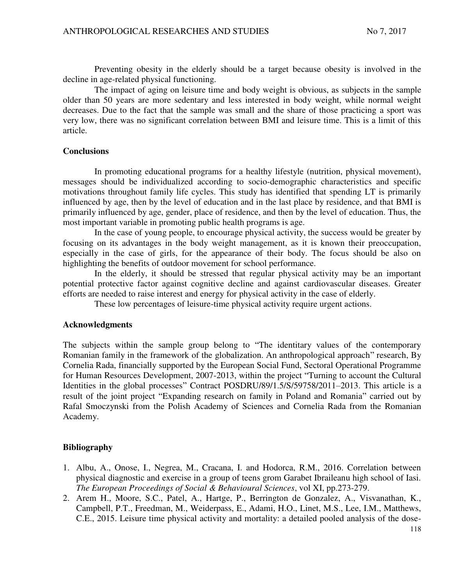Preventing obesity in the elderly should be a target because obesity is involved in the decline in age-related physical functioning.

The impact of aging on leisure time and body weight is obvious, as subjects in the sample older than 50 years are more sedentary and less interested in body weight, while normal weight decreases. Due to the fact that the sample was small and the share of those practicing a sport was very low, there was no significant correlation between BMI and leisure time. This is a limit of this article.

### **Conclusions**

In promoting educational programs for a healthy lifestyle (nutrition, physical movement), messages should be individualized according to socio-demographic characteristics and specific motivations throughout family life cycles. This study has identified that spending LT is primarily influenced by age, then by the level of education and in the last place by residence, and that BMI is primarily influenced by age, gender, place of residence, and then by the level of education. Thus, the most important variable in promoting public health programs is age.

In the case of young people, to encourage physical activity, the success would be greater by focusing on its advantages in the body weight management, as it is known their preoccupation, especially in the case of girls, for the appearance of their body. The focus should be also on highlighting the benefits of outdoor movement for school performance.

In the elderly, it should be stressed that regular physical activity may be an important potential protective factor against cognitive decline and against cardiovascular diseases. Greater efforts are needed to raise interest and energy for physical activity in the case of elderly.

These low percentages of leisure-time physical activity require urgent actions.

#### **Acknowledgments**

The subjects within the sample group belong to "The identitary values of the contemporary Romanian family in the framework of the globalization. An anthropological approach" research, By Cornelia Rada, financially supported by the European Social Fund, Sectoral Operational Programme for Human Resources Development, 2007-2013, within the project "Turning to account the Cultural Identities in the global processes" Contract POSDRU/89/1.5/S/59758/2011–2013. This article is a result of the joint project "Expanding research on family in Poland and Romania" carried out by Rafal Smoczynski from the Polish Academy of Sciences and Cornelia Rada from the Romanian Academy.

### **Bibliography**

- 1. Albu, A., Onose, I., Negrea, M., Cracana, I. and Hodorca, R.M., 2016. Correlation between physical diagnostic and exercise in a group of teens grom Garabet Ibraileanu high school of Iasi. *The European Proceedings of Social & Behavioural Sciences*, vol XI, pp.273-279.
- 2. Arem H., Moore, S.C., Patel, A., Hartge, P., Berrington de Gonzalez, A., Visvanathan, K., Campbell, P.T., Freedman, M., Weiderpass, E., Adami, H.O., Linet, M.S., Lee, I.M., Matthews, C.E., 2015. Leisure time physical activity and mortality: a detailed pooled analysis of the dose-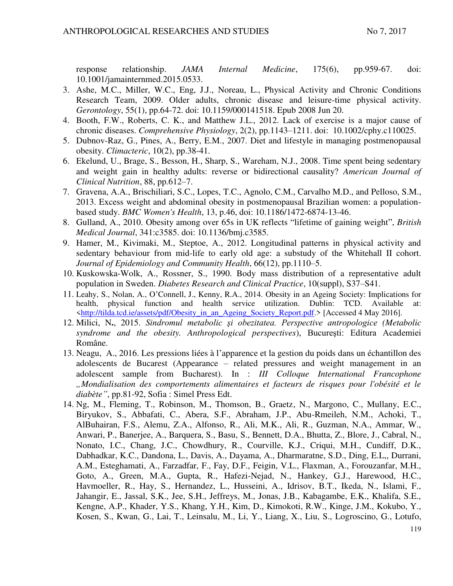response relationship. *JAMA Internal Medicine*, 175(6), pp.959-67. doi: 10.1001/jamainternmed.2015.0533.

- 3. Ashe, M.C., Miller, W.C., Eng, J.J., Noreau, L., Physical Activity and Chronic Conditions Research Team, 2009. Older adults, chronic disease and leisure-time physical activity. *Gerontology*, 55(1), pp.64-72. doi: 10.1159/000141518. Epub 2008 Jun 20.
- 4. Booth, F.W., Roberts, C. K., and Matthew J.L., 2012. Lack of exercise is a major cause of chronic diseases. *Comprehensive Physiology*, 2(2), pp.1143–1211. doi: 10.1002/cphy.c110025.
- 5. Dubnov-Raz, G., Pines, A., Berry, E.M., 2007. Diet and lifestyle in managing postmenopausal obesity. *Climacteric*, 10(2), pp.38-41.
- 6. Ekelund, U., Brage, S., Besson, H., Sharp, S., Wareham, N.J., 2008. Time spent being sedentary and weight gain in healthy adults: reverse or bidirectional causality? *American Journal of Clinical Nutrition*, 88, pp.612–7.
- 7. Gravena, A.A., Brischiliari, S.C., Lopes, T.C., Agnolo, C.M., Carvalho M.D., and Pelloso, S.M., 2013. Excess weight and abdominal obesity in postmenopausal Brazilian women: a populationbased study. *BMC Women's Health*, 13, p.46, doi: 10.1186/1472-6874-13-46.
- 8. Gulland, A., 2010. Obesity among over 65s in UK reflects "lifetime of gaining weight", *British Medical Journal*, 341:c3585. doi: 10.1136/bmj.c3585.
- 9. Hamer, M., Kivimaki, M., Steptoe, A., 2012. Longitudinal patterns in physical activity and sedentary behaviour from mid-life to early old age: a substudy of the Whitehall II cohort. *Journal of Epidemiology and Community Health*, 66(12), pp.1110–5.
- 10. Kuskowska-Wolk, A., Rossner, S., 1990. Body mass distribution of a representative adult population in Sweden. *Diabetes Research and Clinical Practice*, 10(suppl), S37–S41.
- 11. Leahy, S., Nolan, A., O'Connell, J., Kenny, R.A., 2014. Obesity in an Ageing Society: Implications for health, physical function and health service utilization. Dublin: TCD. Available at: [<http://tilda.tcd.ie/assets/pdf/Obesity\\_in\\_an\\_Ageing\\_Society\\_Report.pdf.](http://tilda.tcd.ie/assets/pdf/Obesity_in_an_Ageing_Society_Report.pdf)> [Accessed 4 May 2016].
- 12. Milici, N**.**, 2015. *Sindromul metabolic şi obezitatea. Perspective antropologice (Metabolic syndrome and the obesity. Anthropological perspectives*), Bucureşti: Editura Academiei Române.
- 13. Neagu, A., 2016. Les pressions liées à l'apparence et la gestion du poids dans un échantillon des adolescents de Bucarest (Appearance – related pressures and weight management in an adolescent sample from Bucharest). In : *III Colloque International Francophone "Mondialisation des comportements alimentaires et facteurs de risques pour l'obésité et le diabète"*, pp.81-92, Sofia : Simel Press Edt.
- 14. Ng, M., Fleming, T., Robinson, M., Thomson, B., Graetz, N., Margono, C., Mullany, E.C., Biryukov, S., Abbafati, C., Abera, S.F., Abraham, J.P., Abu-Rmeileh, N.M., Achoki, T., AlBuhairan, F.S., Alemu, Z.A., Alfonso, R., Ali, M.K., Ali, R., Guzman, N.A., Ammar, W., Anwari, P., Banerjee, A., Barquera, S., Basu, S., Bennett, D.A., Bhutta, Z., Blore, J., Cabral, N., Nonato, I.C., Chang, J.C., Chowdhury, R., Courville, K.J., Criqui, M.H., Cundiff, D.K., Dabhadkar, K.C., Dandona, L., Davis, A., Dayama, A., Dharmaratne, S.D., Ding, E.L,, Durrani, A.M., Esteghamati, A., Farzadfar, F., Fay, D.F., Feigin, V.L., Flaxman, A., Forouzanfar, M.H., Goto, A., Green, M.A., Gupta, R., Hafezi-Nejad, N., Hankey, G.J., Harewood, H.C., Havmoeller, R., Hay, S., Hernandez, L., Husseini, A., Idrisov, B.T., Ikeda, N., Islami, F., Jahangir, E., Jassal, S.K., Jee, S.H., Jeffreys, M., Jonas, J.B., Kabagambe, E.K., Khalifa, S.E., Kengne, A.P., Khader, Y.S., Khang, Y.H., Kim, D., Kimokoti, R.W., Kinge, J.M., Kokubo, Y., Kosen, S., Kwan, G., Lai, T., Leinsalu, M., Li, Y., Liang, X., Liu, S., Logroscino, G., Lotufo,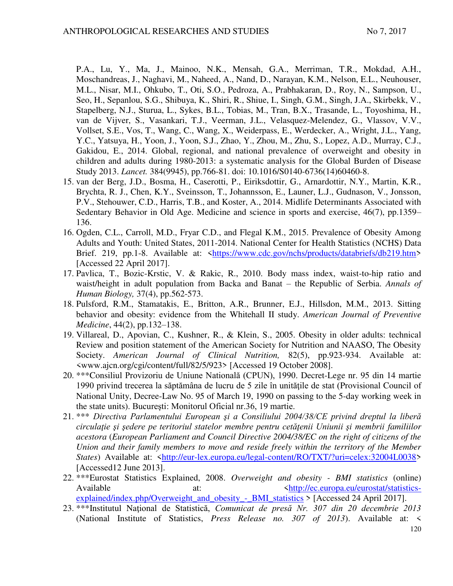P.A., Lu, Y., Ma, J., Mainoo, N.K., Mensah, G.A., Merriman, T.R., Mokdad, A.H., Moschandreas, J., Naghavi, M., Naheed, A., Nand, D., Narayan, K.M., Nelson, E.L., Neuhouser, M.L., Nisar, M.I., Ohkubo, T., Oti, S.O., Pedroza, A., Prabhakaran, D., Roy, N., Sampson, U., Seo, H., Sepanlou, S.G., Shibuya, K., Shiri, R., Shiue, I., Singh, G.M., Singh, J.A., Skirbekk, V., Stapelberg, N.J., Sturua, L., Sykes, B.L., Tobias, M., Tran, B.X., Trasande, L., Toyoshima, H., van de Vijver, S., Vasankari, T.J., Veerman, J.L., Velasquez-Melendez, G., Vlassov, V.V., Vollset, S.E., Vos, T., Wang, C., Wang, X., Weiderpass, E., Werdecker, A., Wright, J.L., Yang, Y.C., Yatsuya, H., Yoon, J., Yoon, S.J., Zhao, Y., Zhou, M., Zhu, S., Lopez, A.D., Murray, C.J., Gakidou, E., 2014. Global, regional, and national prevalence of overweight and obesity in children and adults during 1980-2013: a systematic analysis for the Global Burden of Disease Study 2013. *Lancet.* 384(9945), pp.766-81. doi: 10.1016/S0140-6736(14)60460-8.

- 15. van der Berg, J.D., Bosma, H., Caserotti, P., Eiriksdottir, G., Arnardottir, N.Y., Martin, K.R., Brychta, R. J., Chen, K.Y., Sveinsson, T., Johannsson, E., Launer, L.J., Gudnason, V., Jonsson, P.V., Stehouwer, C.D., Harris, T.B., and Koster, A., 2014. Midlife Determinants Associated with Sedentary Behavior in Old Age. Medicine and science in sports and exercise, 46(7), pp.1359– 136.
- 16. Ogden, C.L., Carroll, M.D., Fryar C.D., and Flegal K.M., 2015. Prevalence of Obesity Among Adults and Youth: United States, 2011-2014. National Center for Health Statistics (NCHS) Data Brief. 219, pp.1-8. Available at: [<https://www.cdc.gov/nchs/products/databriefs/db219.htm>](https://www.cdc.gov/nchs/products/databriefs/db219.htm) [Accessed 22 April 2017].
- 17. Pavlica, T., Bozic-Krstic, V. & Rakic, R., 2010. Body mass index, waist-to-hip ratio and waist/height in adult population from Backa and Banat *–* the Republic of Serbia. *Annals of Human Biology,* 37(4), pp.562-573.
- 18. Pulsford, R.M., Stamatakis, E., Britton, A.R., Brunner, E.J., Hillsdon, M.M., 2013. Sitting behavior and obesity: evidence from the Whitehall II study. *American Journal of Preventive Medicine*, 44(2), pp.132–138.
- 19. Villareal, D., Apovian, C., Kushner, R., & Klein, S., 2005. Obesity in older adults: technical Review and position statement of the American Society for Nutrition and NAASO, The Obesity Society. *American Journal of Clinical Nutrition,* 82(5), pp.923-934. Available at: <www.ajcn.org/cgi/content/full/82/5/923> [Accessed 19 October 2008].
- 20. \*\*\*Consiliul Provizoriu de Uniune Natională (CPUN), 1990. Decret-Lege nr. 95 din 14 martie 1990 privind trecerea la săptămâna de lucru de 5 zile în unitățile de stat (Provisional Council of National Unity, Decree-Law No. 95 of March 19, 1990 on passing to the 5-day working week in the state units). Bucureşti: Monitorul Oficial nr.36, 19 martie.
- 21. \*\*\* *Directiva Parlamentului European şi a Consiliului 2004/38/CE privind dreptul la liberă circulaţie şi şedere pe teritoriul statelor membre pentru cetăţenii Uniunii şi membrii familiilor acestora* (*European Parliament and Council Directive 2004/38/EC on the right of citizens of the Union and their family members to move and reside freely within the territory of the Member*  States) Available at: [<http://eur-lex.europa.eu/legal-content/RO/TXT/?uri=celex:32004L0038>](http://eur-lex.europa.eu/legal-content/RO/TXT/?uri=celex:32004L0038) [Accessed12 June 2013].
- 22. \*\*\*Eurostat Statistics Explained, 2008. *Overweight and obesity BMI statistics* (online) Available at:  $\frac{1}{\text{at}}$  at:  $\frac{1}{\text{at}}$   $\frac{1}{\text{at}}$   $\frac{1}{\text{at}}$   $\frac{1}{\text{at}}$   $\frac{1}{\text{at}}$   $\frac{1}{\text{at}}$   $\frac{1}{\text{at}}$   $\frac{1}{\text{at}}$   $\frac{1}{\text{at}}$   $\frac{1}{\text{at}}$   $\frac{1}{\text{at}}$   $\frac{1}{\text{at}}$   $\frac{1}{\text{at}}$   $\frac{1}{\text{at}}$   $\frac{1}{\text{$ explained/index.php/Overweight\_and\_obesity -\_BMI\_statistics > [Accessed 24 April 2017].
- 23. \*\*\*Institutul Naţional de Statistică, *Comunicat de presă Nr. 307 din 20 decembrie 2013* (National Institute of Statistics, *Press Release no. 307 of 2013*). Available at: <